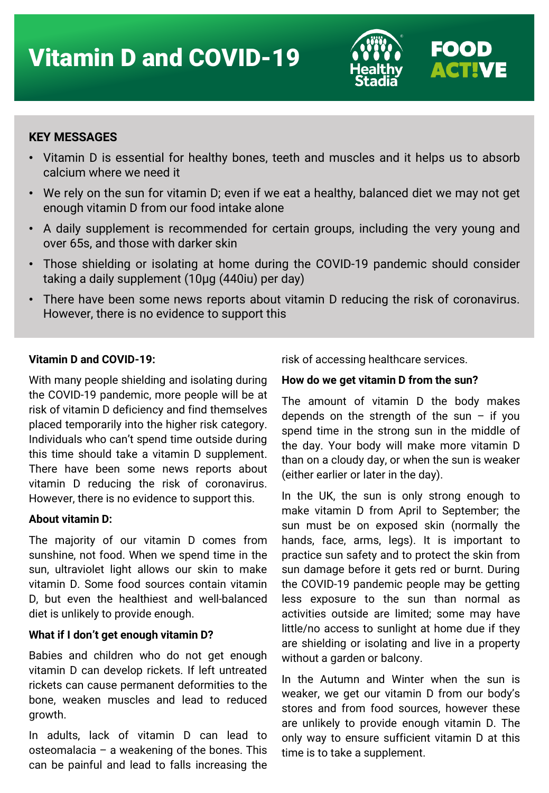

## **KEY MESSAGES**

- Vitamin D is essential for healthy bones, teeth and muscles and it helps us to absorb calcium where we need it
- We rely on the sun for vitamin D; even if we eat a healthy, balanced diet we may not get enough vitamin D from our food intake alone
- A daily supplement is recommended for certain groups, including the very young and over 65s, and those with darker skin
- Those shielding or isolating at home during the COVID-19 pandemic should consider taking a daily supplement (10µg (440iu) per day)
- There have been some news reports about vitamin D reducing the risk of coronavirus. However, there is no evidence to support this

#### **Vitamin D and COVID-19:**

With many people shielding and isolating during the COVID-19 pandemic, more people will be at risk of vitamin D deficiency and find themselves placed temporarily into the higher risk category. Individuals who can't spend time outside during this time should take a vitamin D supplement. There have been some news reports about vitamin D reducing the risk of coronavirus. However, there is no evidence to support this.

#### **About vitamin D:**

The majority of our vitamin D comes from sunshine, not food. When we spend time in the sun, ultraviolet light allows our skin to make vitamin D. Some food sources contain vitamin D, but even the healthiest and well-balanced diet is unlikely to provide enough.

#### **What if I don't get enough vitamin D?**

Babies and children who do not get enough vitamin D can develop rickets. If left untreated rickets can cause permanent deformities to the bone, weaken muscles and lead to reduced growth.

In adults, lack of vitamin D can lead to osteomalacia – a weakening of the bones. This can be painful and lead to falls increasing the risk of accessing healthcare services.

#### **How do we get vitamin D from the sun?**

The amount of vitamin D the body makes depends on the strength of the sun  $-$  if you spend time in the strong sun in the middle of the day. Your body will make more vitamin D than on a cloudy day, or when the sun is weaker (either earlier or later in the day).

In the UK, the sun is only strong enough to make vitamin D from April to September; the sun must be on exposed skin (normally the hands, face, arms, legs). It is important to practice sun safety and to protect the skin from sun damage before it gets red or burnt. During the COVID-19 pandemic people may be getting less exposure to the sun than normal as activities outside are limited; some may have little/no access to sunlight at home due if they are shielding or isolating and live in a property without a garden or balcony.

In the Autumn and Winter when the sun is weaker, we get our vitamin D from our body's stores and from food sources, however these are unlikely to provide enough vitamin D. The only way to ensure sufficient vitamin D at this time is to take a supplement.